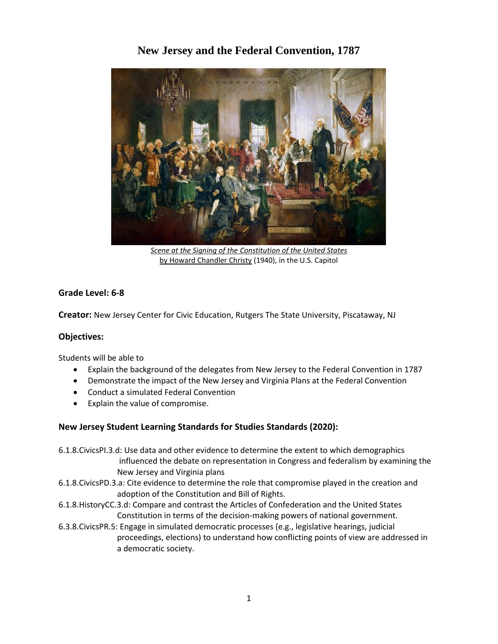# **New Jersey and the Federal Convention, 1787**



*[Scene at the Signing of the Constitution of the United States](http://en.wikipedia.org/wiki/Scene_at_the_Signing_of_the_Constitution_of_the_United_States)* b[y Howard Chandler Christy](http://en.wikipedia.org/wiki/Howard_Chandler_Christy) (1940), in the U.S. Capitol

# **Grade Level: 6-8**

**Creator:** New Jersey Center for Civic Education, Rutgers The State University, Piscataway, NJ

#### **Objectives:**

Students will be able to

- Explain the background of the delegates from New Jersey to the Federal Convention in 1787
- Demonstrate the impact of the New Jersey and Virginia Plans at the Federal Convention
- Conduct a simulated Federal Convention
- Explain the value of compromise.

# **New Jersey Student Learning Standards for Studies Standards (2020):**

6.1.8.CivicsPI.3.d: Use data and other evidence to determine the extent to which demographics influenced the debate on representation in Congress and federalism by examining the New Jersey and Virginia plans

- 6.1.8.CivicsPD.3.a: Cite evidence to determine the role that compromise played in the creation and adoption of the Constitution and Bill of Rights.
- 6.1.8.HistoryCC.3.d: Compare and contrast the Articles of Confederation and the United States Constitution in terms of the decision-making powers of national government.
- 6.3.8.CivicsPR.5: Engage in simulated democratic processes (e.g., legislative hearings, judicial proceedings, elections) to understand how conflicting points of view are addressed in a democratic society.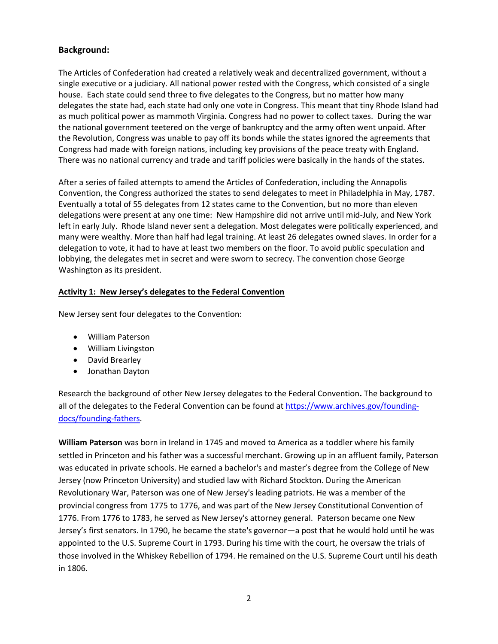# **Background:**

The Articles of Confederation had created a relatively weak and decentralized government, without a single executive or a judiciary. All national power rested with the Congress, which consisted of a single house. Each state could send three to five delegates to the Congress, but no matter how many delegates the state had, each state had only one vote in Congress. This meant that tiny Rhode Island had as much political power as mammoth Virginia. Congress had no power to collect taxes. During the war the national government teetered on the verge of bankruptcy and the army often went unpaid. After the Revolution, Congress was unable to pay off its bonds while the states ignored the agreements that Congress had made with foreign nations, including key provisions of the peace treaty with England. There was no national currency and trade and tariff policies were basically in the hands of the states.

After a series of failed attempts to amend the Articles of Confederation, including the Annapolis Convention, the Congress authorized the states to send delegates to meet in Philadelphia in May, 1787. Eventually a total of 55 delegates from 12 states came to the Convention, but no more than eleven delegations were present at any one time: New Hampshire did not arrive until mid-July, and New York left in early July. Rhode Island never sent a delegation. Most delegates were politically experienced, and many were wealthy. More than half had legal training. At least 26 delegates owned slaves. In order for a delegation to vote, it had to have at least two members on the floor. To avoid public speculation and lobbying, the delegates met in secret and were sworn to secrecy. The convention chose George Washington as its president.

# **Activity 1: New Jersey's delegates to the Federal Convention**

New Jersey sent four delegates to the Convention:

- William Paterson
- William Livingston
- David Brearley
- Jonathan Dayton

Research the background of other New Jersey delegates to the Federal Convention**.** The background to all of the delegates to the Federal Convention can be found at [https://www.archives.gov/founding](https://www.archives.gov/founding-docs/founding-fathers)[docs/founding-fathers.](https://www.archives.gov/founding-docs/founding-fathers)

**William Paterson** was born in Ireland in 1745 and moved to America as a toddler where his family settled in Princeton and his father was a successful merchant. Growing up in an affluent family, Paterson was educated in private schools. He earned a bachelor's and master's degree from the College of New Jersey (now Princeton University) and studied law with Richard Stockton. During the American Revolutionary War, Paterson was one of New Jersey's leading patriots. He was a member of the provincial congress from 1775 to 1776, and was part of the New Jersey Constitutional Convention of 1776. From 1776 to 1783, he served as New Jersey's attorney general. Paterson became one New Jersey's first senators. In 1790, he became the state's governor—a post that he would hold until he was appointed to the U.S. Supreme Court in 1793. During his time with the court, he oversaw the trials of those involved in the Whiskey Rebellion of 1794. He remained on the U.S. Supreme Court until his death in 1806.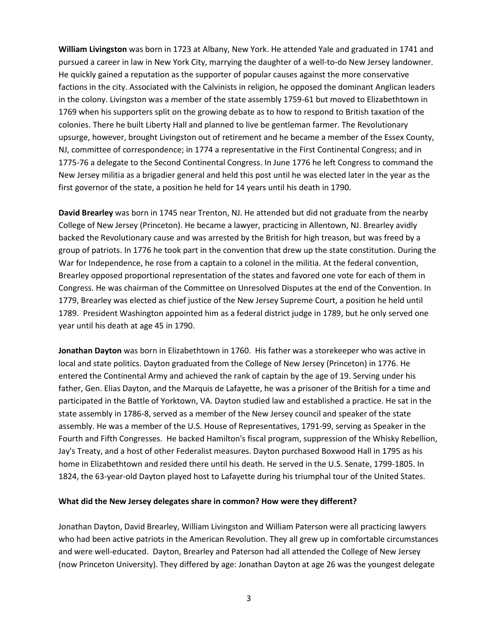**William Livingston** was born in 1723 at Albany, New York. He attended Yale and graduated in 1741 and pursued a career in law in New York City, marrying the daughter of a well-to-do New Jersey landowner. He quickly gained a reputation as the supporter of popular causes against the more conservative factions in the city. Associated with the Calvinists in religion, he opposed the dominant Anglican leaders in the colony. Livingston was a member of the state assembly 1759-61 but moved to Elizabethtown in 1769 when his supporters split on the growing debate as to how to respond to British taxation of the colonies. There he built Liberty Hall and planned to live be gentleman farmer. The Revolutionary upsurge, however, brought Livingston out of retirement and he became a member of the Essex County, NJ, committee of correspondence; in 1774 a representative in the First Continental Congress; and in 1775-76 a delegate to the Second Continental Congress. In June 1776 he left Congress to command the New Jersey militia as a brigadier general and held this post until he was elected later in the year as the first governor of the state, a position he held for 14 years until his death in 1790.

**David Brearley** was born in 1745 near Trenton, NJ. He attended but did not graduate from the nearby College of New Jersey (Princeton). He became a lawyer, practicing in Allentown, NJ. Brearley avidly backed the Revolutionary cause and was arrested by the British for high treason, but was freed by a group of patriots. In 1776 he took part in the convention that drew up the state constitution. During the War for Independence, he rose from a captain to a colonel in the militia. At the federal convention, Brearley opposed proportional representation of the states and favored one vote for each of them in Congress. He was chairman of the Committee on Unresolved Disputes at the end of the Convention. In 1779, Brearley was elected as chief justice of the New Jersey Supreme Court, a position he held until 1789. President Washington appointed him as a federal district judge in 1789, but he only served one year until his death at age 45 in 1790.

**Jonathan Dayton** was born in Elizabethtown in 1760. His father was a storekeeper who was active in local and state politics. Dayton graduated from the College of New Jersey (Princeton) in 1776. He entered the Continental Army and achieved the rank of captain by the age of 19. Serving under his father, Gen. Elias Dayton, and the Marquis de Lafayette, he was a prisoner of the British for a time and participated in the Battle of Yorktown, VA. Dayton studied law and established a practice. He sat in the state assembly in 1786-8, served as a member of the New Jersey council and speaker of the state assembly. He was a member of the U.S. House of Representatives, 1791-99, serving as Speaker in the Fourth and Fifth Congresses. He backed Hamilton's fiscal program, suppression of the Whisky Rebellion, Jay's Treaty, and a host of other Federalist measures. Dayton purchased Boxwood Hall in 1795 as his home in Elizabethtown and resided there until his death. He served in the U.S. Senate, 1799-1805. In 1824, the 63-year-old Dayton played host to Lafayette during his triumphal tour of the United States.

#### **What did the New Jersey delegates share in common? How were they different?**

Jonathan Dayton, David Brearley, William Livingston and William Paterson were all practicing lawyers who had been active patriots in the American Revolution. They all grew up in comfortable circumstances and were well-educated. Dayton, Brearley and Paterson had all attended the College of New Jersey (now Princeton University). They differed by age: Jonathan Dayton at age 26 was the youngest delegate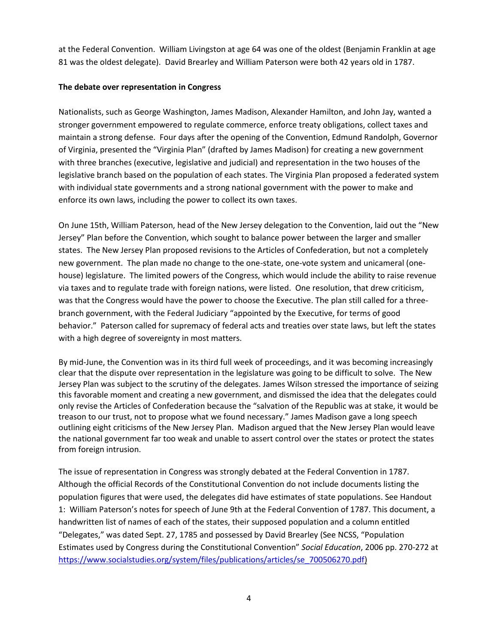at the Federal Convention. William Livingston at age 64 was one of the oldest (Benjamin Franklin at age 81 was the oldest delegate). David Brearley and William Paterson were both 42 years old in 1787.

#### **The debate over representation in Congress**

Nationalists, such as George Washington, James Madison, Alexander Hamilton, and John Jay, wanted a stronger government empowered to regulate commerce, enforce treaty obligations, collect taxes and maintain a strong defense. Four days after the opening of the Convention, Edmund Randolph, Governor of Virginia, presented the "Virginia Plan" (drafted by James Madison) for creating a new government with three branches (executive, legislative and judicial) and representation in the two houses of the legislative branch based on the population of each states. The Virginia Plan proposed a federated system with individual state governments and a strong national government with the power to make and enforce its own laws, including the power to collect its own taxes.

On June 15th, William Paterson, head of the New Jersey delegation to the Convention, laid out the "New Jersey" Plan before the Convention, which sought to balance power between the larger and smaller states. The New Jersey Plan proposed revisions to the Articles of Confederation, but not a completely new government. The plan made no change to the one-state, one-vote system and unicameral (onehouse) legislature. The limited powers of the Congress, which would include the ability to raise revenue via taxes and to regulate trade with foreign nations, were listed. One resolution, that drew criticism, was that the Congress would have the power to choose the Executive. The plan still called for a threebranch government, with the Federal Judiciary "appointed by the Executive, for terms of good behavior." Paterson called for supremacy of federal acts and treaties over state laws, but left the states with a high degree of sovereignty in most matters.

By mid-June, the Convention was in its third full week of proceedings, and it was becoming increasingly clear that the dispute over representation in the legislature was going to be difficult to solve. The New Jersey Plan was subject to the scrutiny of the delegates. James Wilson stressed the importance of seizing this favorable moment and creating a new government, and dismissed the idea that the delegates could only revise the Articles of Confederation because the "salvation of the Republic was at stake, it would be treason to our trust, not to propose what we found necessary." James Madison gave a long speech outlining eight criticisms of the New Jersey Plan. Madison argued that the New Jersey Plan would leave the national government far too weak and unable to assert control over the states or protect the states from foreign intrusion.

The issue of representation in Congress was strongly debated at the Federal Convention in 1787. Although the official Records of the Constitutional Convention do not include documents listing the population figures that were used, the delegates did have estimates of state populations. See Handout 1: William Paterson's notes for speech of June 9th at the Federal Convention of 1787. This document, a handwritten list of names of each of the states, their supposed population and a column entitled "Delegates," was dated Sept. 27, 1785 and possessed by David Brearley (See NCSS, "Population Estimates used by Congress during the Constitutional Convention" *Social Education*, 2006 pp. 270-272 at [https://www.socialstudies.org/system/files/publications/articles/se\\_700506270.pdf\)](https://www.socialstudies.org/system/files/publications/articles/se_700506270.pdf)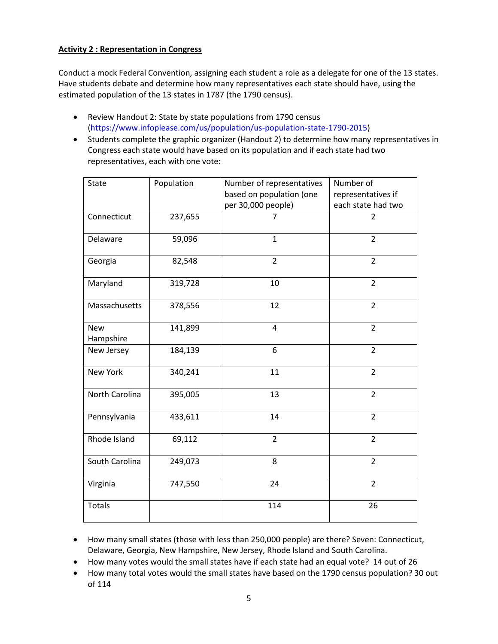### **Activity 2 : Representation in Congress**

Conduct a mock Federal Convention, assigning each student a role as a delegate for one of the 13 states. Have students debate and determine how many representatives each state should have, using the estimated population of the 13 states in 1787 (the 1790 census).

- Review Handout 2: State by state populations from 1790 census [\(https://www.infoplease.com/us/population/us-population-state-1790-2015\)](https://www.infoplease.com/us/population/us-population-state-1790-2015)
- Students complete the graphic organizer (Handout 2) to determine how many representatives in Congress each state would have based on its population and if each state had two representatives, each with one vote:

| <b>State</b>            | Population | Number of representatives | Number of          |
|-------------------------|------------|---------------------------|--------------------|
|                         |            | based on population (one  | representatives if |
|                         |            | per 30,000 people)        | each state had two |
| Connecticut             | 237,655    | $\overline{7}$            | $\overline{2}$     |
| Delaware                | 59,096     | $\mathbf{1}$              | $\overline{2}$     |
| Georgia                 | 82,548     | $\overline{2}$            | $\overline{2}$     |
| Maryland                | 319,728    | 10                        | $\overline{2}$     |
| Massachusetts           | 378,556    | 12                        | $\overline{2}$     |
| <b>New</b><br>Hampshire | 141,899    | 4                         | $\overline{2}$     |
| New Jersey              | 184,139    | 6                         | $\overline{2}$     |
| New York                | 340,241    | 11                        | $\overline{2}$     |
| North Carolina          | 395,005    | 13                        | $\overline{2}$     |
| Pennsylvania            | 433,611    | 14                        | $\overline{2}$     |
| Rhode Island            | 69,112     | $\overline{2}$            | $\overline{2}$     |
| South Carolina          | 249,073    | 8                         | $\overline{2}$     |
| Virginia                | 747,550    | 24                        | $\overline{2}$     |
| <b>Totals</b>           |            | 114                       | 26                 |

- How many small states (those with less than 250,000 people) are there? Seven: Connecticut, Delaware, Georgia, New Hampshire, New Jersey, Rhode Island and South Carolina.
- How many votes would the small states have if each state had an equal vote? 14 out of 26
- How many total votes would the small states have based on the 1790 census population? 30 out of 114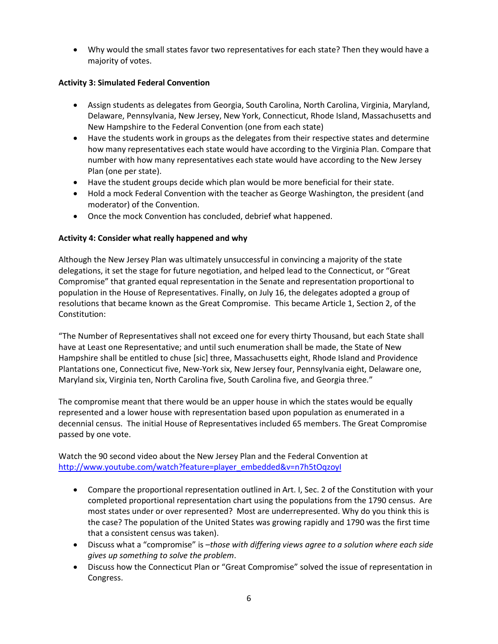Why would the small states favor two representatives for each state? Then they would have a majority of votes.

### **Activity 3: Simulated Federal Convention**

- Assign students as delegates from Georgia, South Carolina, North Carolina, Virginia, Maryland, Delaware, Pennsylvania, New Jersey, New York, Connecticut, Rhode Island, Massachusetts and New Hampshire to the Federal Convention (one from each state)
- Have the students work in groups as the delegates from their respective states and determine how many representatives each state would have according to the Virginia Plan. Compare that number with how many representatives each state would have according to the New Jersey Plan (one per state).
- Have the student groups decide which plan would be more beneficial for their state.
- Hold a mock Federal Convention with the teacher as George Washington, the president (and moderator) of the Convention.
- Once the mock Convention has concluded, debrief what happened.

### **Activity 4: Consider what really happened and why**

Although the New Jersey Plan was ultimately unsuccessful in convincing a majority of the state delegations, it set the stage for future negotiation, and helped lead to the Connecticut, or "Great Compromise" that granted equal representation in the Senate and representation proportional to population in the House of Representatives. Finally, on July 16, the delegates adopted a group of resolutions that became known as the Great Compromise. This became Article 1, Section 2, of the Constitution:

"The Number of Representatives shall not exceed one for every thirty Thousand, but each State shall have at Least one Representative; and until such enumeration shall be made, the State of New Hampshire shall be entitled to chuse [sic] three, Massachusetts eight, Rhode Island and Providence Plantations one, Connecticut five, New-York six, New Jersey four, Pennsylvania eight, Delaware one, Maryland six, Virginia ten, North Carolina five, South Carolina five, and Georgia three."

The compromise meant that there would be an upper house in which the states would be equally represented and a lower house with representation based upon population as enumerated in a decennial census. The initial House of Representatives included 65 members. The Great Compromise passed by one vote.

Watch the 90 second video about the New Jersey Plan and the Federal Convention at [http://www.youtube.com/watch?feature=player\\_embedded&v=n7h5tOqzoyI](http://www.youtube.com/watch?feature=player_embedded&v=n7h5tOqzoyI)

- Compare the proportional representation outlined in Art. I, Sec. 2 of the Constitution with your completed proportional representation chart using the populations from the 1790 census. Are most states under or over represented? Most are underrepresented. Why do you think this is the case? The population of the United States was growing rapidly and 1790 was the first time that a consistent census was taken).
- Discuss what a "compromise" is –*those with differing views agree to a solution where each side gives up something to solve the problem*.
- Discuss how the Connecticut Plan or "Great Compromise" solved the issue of representation in Congress.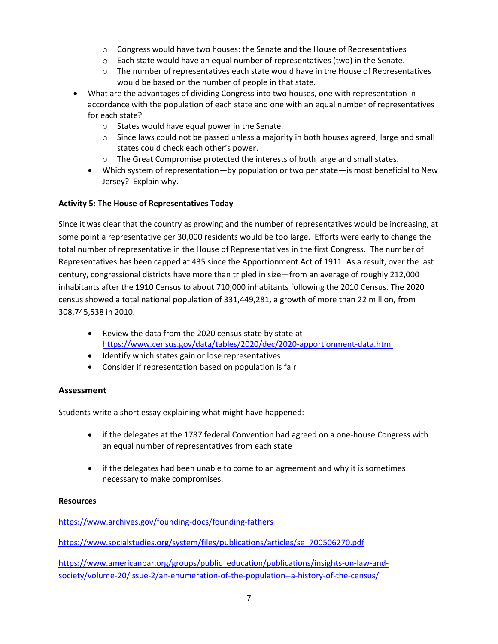- o Congress would have two houses: the Senate and the House of Representatives
- o Each state would have an equal number of representatives (two) in the Senate.
- $\circ$  The number of representatives each state would have in the House of Representatives would be based on the number of people in that state.
- What are the advantages of dividing Congress into two houses, one with representation in accordance with the population of each state and one with an equal number of representatives for each state?
	- o States would have equal power in the Senate.
	- $\circ$  Since laws could not be passed unless a majority in both houses agreed, large and small states could check each other's power.
	- $\circ$  The Great Compromise protected the interests of both large and small states.
	- Which system of representation—by population or two per state—is most beneficial to New Jersey? Explain why.

#### **Activity 5: The House of Representatives Today**

Since it was clear that the country as growing and the number of representatives would be increasing, at some point a representative per 30,000 residents would be too large. Efforts were early to change the total number of representative in the House of Representatives in the first Congress. The number of Representatives has been capped at 435 since the Apportionment Act of 1911. As a result, over the last century, congressional districts have more than tripled in size—from an average of roughly 212,000 inhabitants after the 1910 Census to about 710,000 inhabitants following the 2010 Census. The 2020 census showed a total national population of 331,449,281, a growth of more than 22 million, from 308,745,538 in 2010.

- Review the data from the 2020 census state by state at <https://www.census.gov/data/tables/2020/dec/2020-apportionment-data.html>
- Identify which states gain or lose representatives
- Consider if representation based on population is fair

#### **Assessment**

Students write a short essay explaining what might have happened:

- if the delegates at the 1787 federal Convention had agreed on a one-house Congress with an equal number of representatives from each state
- if the delegates had been unable to come to an agreement and why it is sometimes necessary to make compromises.

#### **Resources**

<https://www.archives.gov/founding-docs/founding-fathers>

[https://www.socialstudies.org/system/files/publications/articles/se\\_700506270.pdf](https://www.socialstudies.org/system/files/publications/articles/se_700506270.pdf)

[https://www.americanbar.org/groups/public\\_education/publications/insights-on-law-and](https://www.americanbar.org/groups/public_education/publications/insights-on-law-and-society/volume-20/issue-2/an-enumeration-of-the-population--a-history-of-the-census/)[society/volume-20/issue-2/an-enumeration-of-the-population--a-history-of-the-census/](https://www.americanbar.org/groups/public_education/publications/insights-on-law-and-society/volume-20/issue-2/an-enumeration-of-the-population--a-history-of-the-census/)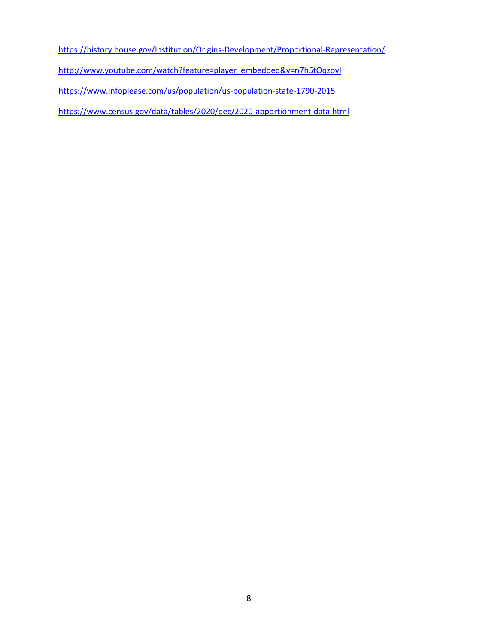<https://history.house.gov/Institution/Origins-Development/Proportional-Representation/>

[http://www.youtube.com/watch?feature=player\\_embedded&v=n7h5tOqzoyI](http://www.youtube.com/watch?feature=player_embedded&v=n7h5tOqzoyI)

<https://www.infoplease.com/us/population/us-population-state-1790-2015>

<https://www.census.gov/data/tables/2020/dec/2020-apportionment-data.html>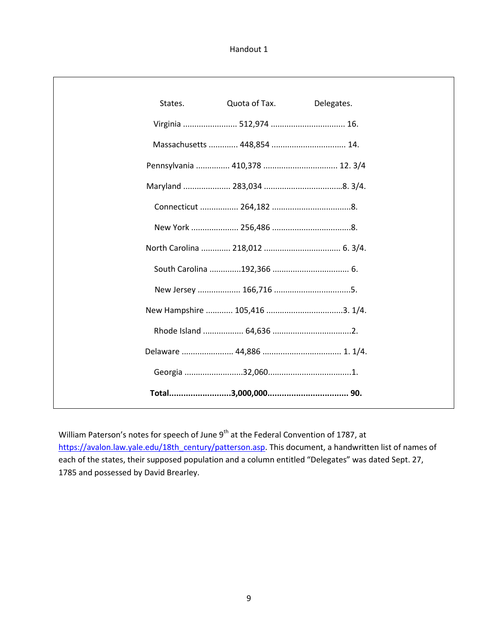Handout 1

Г

| States. | Quota of Tax.               | Delegates.                     |
|---------|-----------------------------|--------------------------------|
|         | Virginia  512,974  16.      |                                |
|         | Massachusetts  448,854  14. |                                |
|         |                             | Pennsylvania  410,378  12. 3/4 |
|         |                             |                                |
|         |                             |                                |
|         |                             |                                |
|         |                             |                                |
|         |                             |                                |
|         |                             |                                |
|         |                             |                                |
|         |                             |                                |
|         |                             |                                |
|         |                             |                                |
|         |                             |                                |

William Paterson's notes for speech of June 9<sup>th</sup> at the Federal Convention of 1787, at [https://avalon.law.yale.edu/18th\\_century/patterson.asp.](https://avalon.law.yale.edu/18th_century/patterson.asp) This document, a handwritten list of names of each of the states, their supposed population and a column entitled "Delegates" was dated Sept. 27, 1785 and possessed by David Brearley.